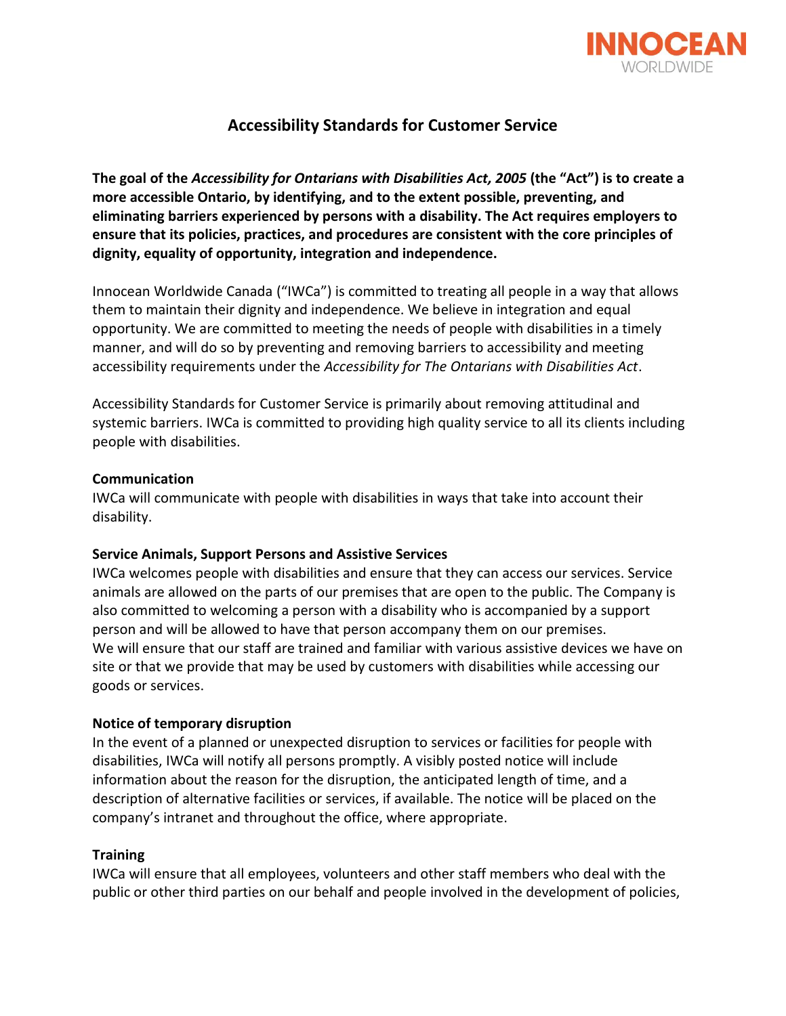

# **Accessibility Standards for Customer Service**

**The goal of the** *Accessibility for Ontarians with Disabilities Act, 2005* **(the "Act") is to create a more accessible Ontario, by identifying, and to the extent possible, preventing, and eliminating barriers experienced by persons with a disability. The Act requires employers to ensure that its policies, practices, and procedures are consistent with the core principles of dignity, equality of opportunity, integration and independence.**

Innocean Worldwide Canada ("IWCa") is committed to treating all people in a way that allows them to maintain their dignity and independence. We believe in integration and equal opportunity. We are committed to meeting the needs of people with disabilities in a timely manner, and will do so by preventing and removing barriers to accessibility and meeting accessibility requirements under the *Accessibility for The Ontarians with Disabilities Act*.

Accessibility Standards for Customer Service is primarily about removing attitudinal and systemic barriers. IWCa is committed to providing high quality service to all its clients including people with disabilities.

# **Communication**

IWCa will communicate with people with disabilities in ways that take into account their disability.

# **Service Animals, Support Persons and Assistive Services**

IWCa welcomes people with disabilities and ensure that they can access our services. Service animals are allowed on the parts of our premises that are open to the public. The Company is also committed to welcoming a person with a disability who is accompanied by a support person and will be allowed to have that person accompany them on our premises. We will ensure that our staff are trained and familiar with various assistive devices we have on site or that we provide that may be used by customers with disabilities while accessing our goods or services.

#### **Notice of temporary disruption**

In the event of a planned or unexpected disruption to services or facilities for people with disabilities, IWCa will notify all persons promptly. A visibly posted notice will include information about the reason for the disruption, the anticipated length of time, and a description of alternative facilities or services, if available. The notice will be placed on the company's intranet and throughout the office, where appropriate.

#### **Training**

IWCa will ensure that all employees, volunteers and other staff members who deal with the public or other third parties on our behalf and people involved in the development of policies,